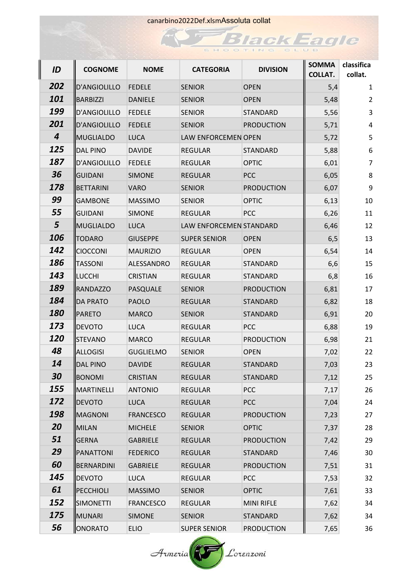$\mathcal{F}_{\mathcal{F}_{\mathcal{F}}}$ 

|  |  |  | <b>Black Eagle</b> |  |  |  |  |
|--|--|--|--------------------|--|--|--|--|
|  |  |  | SHOOTING CLUB      |  |  |  |  |

| ID               | <b>COGNOME</b>   | <b>NOME</b>      | <b>CATEGORIA</b>        | <b>DIVISION</b>   | <b>SOMMA</b><br><b>COLLAT.</b> | classifica<br>collat. |
|------------------|------------------|------------------|-------------------------|-------------------|--------------------------------|-----------------------|
| 202              | D'ANGIOLILLO     | <b>FEDELE</b>    | <b>SENIOR</b>           | <b>OPEN</b>       | 5,4                            | $\mathbf{1}$          |
| 101              | BARBIZZI         | <b>DANIELE</b>   | <b>SENIOR</b>           | <b>OPEN</b>       | 5,48                           | 2                     |
| 199              | D'ANGIOLILLO     | <b>FEDELE</b>    | <b>SENIOR</b>           | <b>STANDARD</b>   | 5,56                           | 3                     |
| 201              | D'ANGIOLILLO     | <b>FEDELE</b>    | <b>SENIOR</b>           | <b>PRODUCTION</b> | 5,71                           | 4                     |
| $\boldsymbol{4}$ | MUGLIALDO        | <b>LUCA</b>      | LAW ENFORCEMEN OPEN     |                   | 5,72                           | 5                     |
| 125              | DAL PINO         | <b>DAVIDE</b>    | <b>REGULAR</b>          | <b>STANDARD</b>   | 5,88                           | 6                     |
| 187              | D'ANGIOLILLO     | <b>FEDELE</b>    | <b>REGULAR</b>          | <b>OPTIC</b>      | 6,01                           | $\overline{7}$        |
| 36               | GUIDANI          | <b>SIMONE</b>    | <b>REGULAR</b>          | <b>PCC</b>        | 6,05                           | 8                     |
| 178              | BETTARINI        | <b>VARO</b>      | <b>SENIOR</b>           | <b>PRODUCTION</b> | 6,07                           | 9                     |
| 99               | <b>GAMBONE</b>   | <b>MASSIMO</b>   | <b>SENIOR</b>           | <b>OPTIC</b>      | 6,13                           | 10                    |
| 55               | GUIDANI          | <b>SIMONE</b>    | <b>REGULAR</b>          | <b>PCC</b>        | 6,26                           | 11                    |
| 5                | MUGLIALDO        | <b>LUCA</b>      | LAW ENFORCEMEN STANDARD |                   | 6,46                           | 12                    |
| 106              | <b>TODARO</b>    | <b>GIUSEPPE</b>  | <b>SUPER SENIOR</b>     | <b>OPEN</b>       | 6, 5                           | 13                    |
| 142              | <b>CIOCCONI</b>  | <b>MAURIZIO</b>  | <b>REGULAR</b>          | <b>OPEN</b>       | 6,54                           | 14                    |
| 186              | <b>TASSONI</b>   | ALESSANDRO       | <b>REGULAR</b>          | STANDARD          | 6,6                            | 15                    |
| 143              | ∥LUCCHI          | <b>CRISTIAN</b>  | <b>REGULAR</b>          | <b>STANDARD</b>   | 6,8                            | 16                    |
| 189              | <b>RANDAZZO</b>  | PASQUALE         | <b>SENIOR</b>           | <b>PRODUCTION</b> | 6,81                           | 17                    |
| 184              | <b>DA PRATO</b>  | <b>PAOLO</b>     | <b>REGULAR</b>          | <b>STANDARD</b>   | 6,82                           | 18                    |
| <b>180</b>       | <b>PARETO</b>    | <b>MARCO</b>     | <b>SENIOR</b>           | <b>STANDARD</b>   | 6,91                           | 20                    |
| 173              | <b>DEVOTO</b>    | <b>LUCA</b>      | <b>REGULAR</b>          | PCC               | 6,88                           | 19                    |
| <b>120</b>       | <b>STEVANO</b>   | <b>MARCO</b>     | <b>REGULAR</b>          | <b>PRODUCTION</b> | 6,98                           | 21                    |
| 48               | ALLOGISI         | <b>GUGLIELMO</b> | <b>SENIOR</b>           | <b>OPEN</b>       | 7,02                           | 22                    |
| 14               | <b>DAL PINO</b>  | <b>DAVIDE</b>    | <b>REGULAR</b>          | <b>STANDARD</b>   | 7,03                           | 23                    |
| 30               | <b>BONOMI</b>    | <b>CRISTIAN</b>  | <b>REGULAR</b>          | <b>STANDARD</b>   | 7,12                           | 25                    |
| <b>155</b>       | MARTINELLI       | <b>ANTONIO</b>   | <b>REGULAR</b>          | <b>PCC</b>        | 7,17                           | 26                    |
| 172              | <b>DEVOTO</b>    | <b>LUCA</b>      | <b>REGULAR</b>          | <b>PCC</b>        | 7,04                           | 24                    |
| 198              | <b>MAGNONI</b>   | <b>FRANCESCO</b> | <b>REGULAR</b>          | <b>PRODUCTION</b> | 7,23                           | 27                    |
| 20               | MILAN            | <b>MICHELE</b>   | <b>SENIOR</b>           | <b>OPTIC</b>      | 7,37                           | 28                    |
| 51               | <b>GERNA</b>     | <b>GABRIELE</b>  | <b>REGULAR</b>          | <b>PRODUCTION</b> | 7,42                           | 29                    |
| 29               | PANATTONI        | <b>FEDERICO</b>  | <b>REGULAR</b>          | <b>STANDARD</b>   | 7,46                           | 30                    |
| 60               | BERNARDINI       | <b>GABRIELE</b>  | <b>REGULAR</b>          | <b>PRODUCTION</b> | 7,51                           | 31                    |
| 145              | <b>DEVOTO</b>    | <b>LUCA</b>      | <b>REGULAR</b>          | <b>PCC</b>        | 7,53                           | 32                    |
| 61               | PECCHIOLI        | <b>MASSIMO</b>   | <b>SENIOR</b>           | <b>OPTIC</b>      | 7,61                           | 33                    |
| 152              | <b>SIMONETTI</b> | <b>FRANCESCO</b> | <b>REGULAR</b>          | <b>MINI RIFLE</b> | 7,62                           | 34                    |
| 175              | MUNARI           | <b>SIMONE</b>    | <b>SENIOR</b>           | <b>STANDARD</b>   | 7,62                           | 34                    |
| 56               | ONORATO          | <b>ELIO</b>      | <b>SUPER SENIOR</b>     | <b>PRODUCTION</b> | 7,65                           | 36                    |

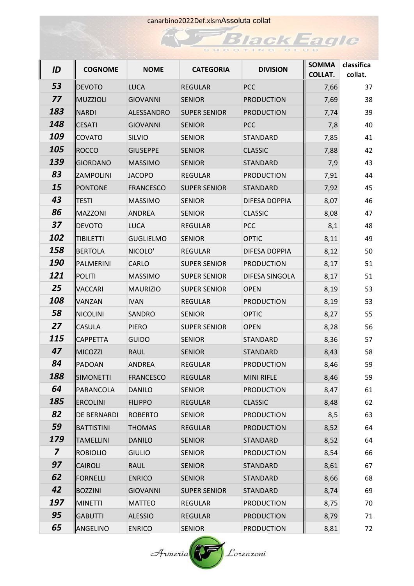| ║ | ID                      | <b>COGNOME</b>     | <b>NOME</b>      | <b>CATEGORIA</b>    | <b>DIVISION</b>   | <b>SOMMA</b><br><b>COLLAT.</b> | classifica<br>collat. |
|---|-------------------------|--------------------|------------------|---------------------|-------------------|--------------------------------|-----------------------|
|   | 53                      | <b>DEVOTO</b>      | <b>LUCA</b>      | <b>REGULAR</b>      | PCC               | 7,66                           | 37                    |
|   | 77                      | MUZZIOLI           | <b>GIOVANNI</b>  | <b>SENIOR</b>       | <b>PRODUCTION</b> | 7,69                           | 38                    |
|   | 183                     | <b>NARDI</b>       | ALESSANDRO       | <b>SUPER SENIOR</b> | <b>PRODUCTION</b> | 7,74                           | 39                    |
|   | 148                     | <b>CESATI</b>      | <b>GIOVANNI</b>  | <b>SENIOR</b>       | <b>PCC</b>        | 7,8                            | 40                    |
|   | 109                     | <b>COVATO</b>      | SILVIO           | <b>SENIOR</b>       | <b>STANDARD</b>   | 7,85                           | 41                    |
|   | 105                     | ROCCO              | <b>GIUSEPPE</b>  | <b>SENIOR</b>       | <b>CLASSIC</b>    | 7,88                           | 42                    |
|   | 139                     | GIORDANO           | <b>MASSIMO</b>   | <b>SENIOR</b>       | <b>STANDARD</b>   | 7,9                            | 43                    |
|   | 83                      | <b>ZAMPOLINI</b>   | <b>JACOPO</b>    | <b>REGULAR</b>      | <b>PRODUCTION</b> | 7,91                           | 44                    |
|   | 15                      | <b>PONTONE</b>     | <b>FRANCESCO</b> | <b>SUPER SENIOR</b> | <b>STANDARD</b>   | 7,92                           | 45                    |
|   | 43                      | <b>TESTI</b>       | <b>MASSIMO</b>   | <b>SENIOR</b>       | DIFESA DOPPIA     | 8,07                           | 46                    |
|   | 86                      | MAZZONI            | <b>ANDREA</b>    | <b>SENIOR</b>       | <b>CLASSIC</b>    | 8,08                           | 47                    |
|   | 37                      | <b>DEVOTO</b>      | <b>LUCA</b>      | <b>REGULAR</b>      | <b>PCC</b>        | 8,1                            | 48                    |
|   | 102                     | TIBILETTI          | <b>GUGLIELMO</b> | <b>SENIOR</b>       | <b>OPTIC</b>      | 8,11                           | 49                    |
|   | 158                     | BERTOLA            | NICOLO'          | <b>REGULAR</b>      | DIFESA DOPPIA     | 8,12                           | 50                    |
|   | <b>190</b>              | PALMERINI          | CARLO            | <b>SUPER SENIOR</b> | <b>PRODUCTION</b> | 8,17                           | 51                    |
|   | 121                     | <b>POLITI</b>      | <b>MASSIMO</b>   | <b>SUPER SENIOR</b> | DIFESA SINGOLA    | 8,17                           | 51                    |
|   | 25                      | <b>VACCARI</b>     | <b>MAURIZIO</b>  | <b>SUPER SENIOR</b> | <b>OPEN</b>       | 8,19                           | 53                    |
|   | 108                     | <b>VANZAN</b>      | <b>IVAN</b>      | <b>REGULAR</b>      | <b>PRODUCTION</b> | 8,19                           | 53                    |
|   | 58                      | <b>NICOLINI</b>    | SANDRO           | <b>SENIOR</b>       | <b>OPTIC</b>      | 8,27                           | 55                    |
|   | 27                      | <b>CASULA</b>      | <b>PIERO</b>     | <b>SUPER SENIOR</b> | <b>OPEN</b>       | 8,28                           | 56                    |
|   | 115                     | <b>CAPPETTA</b>    | <b>GUIDO</b>     | <b>SENIOR</b>       | STANDARD          | 8,36                           | 57                    |
|   | 47                      | MICOZZI            | <b>RAUL</b>      | <b>SENIOR</b>       | STANDARD          | 8,43                           | 58                    |
|   | 84                      | PADOAN             | <b>ANDREA</b>    | <b>REGULAR</b>      | <b>PRODUCTION</b> | 8,46                           | 59                    |
|   | 188                     | <b>SIMONETTI</b>   | <b>FRANCESCO</b> | <b>REGULAR</b>      | <b>MINI RIFLE</b> | 8,46                           | 59                    |
|   | 64                      | PARANCOLA          | <b>DANILO</b>    | <b>SENIOR</b>       | <b>PRODUCTION</b> | 8,47                           | 61                    |
|   | 185                     | <b>ERCOLINI</b>    | <b>FILIPPO</b>   | <b>REGULAR</b>      | <b>CLASSIC</b>    | 8,48                           | 62                    |
|   | 82                      | <b>DE BERNARDI</b> | <b>ROBERTO</b>   | <b>SENIOR</b>       | <b>PRODUCTION</b> | 8,5                            | 63                    |
|   | 59                      | BATTISTINI         | <b>THOMAS</b>    | <b>REGULAR</b>      | <b>PRODUCTION</b> | 8,52                           | 64                    |
|   | 179                     | <b>TAMELLINI</b>   | <b>DANILO</b>    | <b>SENIOR</b>       | <b>STANDARD</b>   | 8,52                           | 64                    |
|   | $\overline{\mathbf{z}}$ | <b>ROBIOLIO</b>    | <b>GIULIO</b>    | <b>SENIOR</b>       | <b>PRODUCTION</b> | 8,54                           | 66                    |
|   | 97                      | <b>CAIROLI</b>     | <b>RAUL</b>      | <b>SENIOR</b>       | <b>STANDARD</b>   | 8,61                           | 67                    |
|   | 62                      | FORNELLI           | <b>ENRICO</b>    | <b>SENIOR</b>       | STANDARD          | 8,66                           | 68                    |
|   | 42                      | <b>BOZZINI</b>     | <b>GIOVANNI</b>  | <b>SUPER SENIOR</b> | <b>STANDARD</b>   | 8,74                           | 69                    |
|   | 197                     | <b>MINETTI</b>     | <b>MATTEO</b>    | <b>REGULAR</b>      | <b>PRODUCTION</b> | 8,75                           | 70                    |
|   | 95                      | <b>GABUTTI</b>     | <b>ALESSIO</b>   | <b>REGULAR</b>      | <b>PRODUCTION</b> | 8,79                           | 71                    |
|   | 65                      | ANGELINO           | <b>ENRICO</b>    | <b>SENIOR</b>       | <b>PRODUCTION</b> | 8,81                           | 72                    |

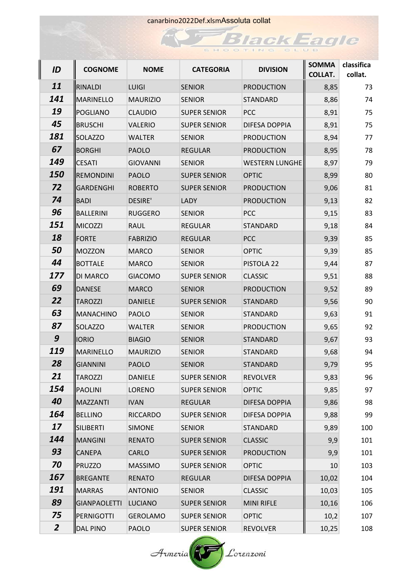| ┃ | ID             | <b>COGNOME</b>    | <b>NOME</b>     | <b>CATEGORIA</b>    | <b>DIVISION</b>       | <b>SOMMA</b><br><b>COLLAT.</b> | classifica<br>collat. |
|---|----------------|-------------------|-----------------|---------------------|-----------------------|--------------------------------|-----------------------|
|   | 11             | <b>RINALDI</b>    | <b>LUIGI</b>    | <b>SENIOR</b>       | <b>PRODUCTION</b>     | 8,85                           | 73                    |
|   | 141            | MARINELLO         | <b>MAURIZIO</b> | <b>SENIOR</b>       | <b>STANDARD</b>       | 8,86                           | 74                    |
|   | 19             | POGLIANO          | <b>CLAUDIO</b>  | <b>SUPER SENIOR</b> | <b>PCC</b>            | 8,91                           | 75                    |
|   | 45             | <b>BRUSCHI</b>    | <b>VALERIO</b>  | <b>SUPER SENIOR</b> | DIFESA DOPPIA         | 8,91                           | 75                    |
|   | 181            | <b>SOLAZZO</b>    | <b>WALTER</b>   | <b>SENIOR</b>       | <b>PRODUCTION</b>     | 8,94                           | 77                    |
|   | 67             | <b>BORGHI</b>     | <b>PAOLO</b>    | <b>REGULAR</b>      | <b>PRODUCTION</b>     | 8,95                           | 78                    |
|   | 149            | <b>I</b> ICESATI  | <b>GIOVANNI</b> | <b>SENIOR</b>       | <b>WESTERN LUNGHE</b> | 8,97                           | 79                    |
|   | <b>150</b>     | <b>REMONDINI</b>  | <b>PAOLO</b>    | <b>SUPER SENIOR</b> | <b>OPTIC</b>          | 8,99                           | 80                    |
|   | 72             | GARDENGHI         | <b>ROBERTO</b>  | <b>SUPER SENIOR</b> | <b>PRODUCTION</b>     | 9,06                           | 81                    |
|   | 74             | <b>BADI</b>       | <b>DESIRE'</b>  | LADY                | <b>PRODUCTION</b>     | 9,13                           | 82                    |
|   | 96             | <b>BALLERINI</b>  | <b>RUGGERO</b>  | <b>SENIOR</b>       | <b>PCC</b>            | 9,15                           | 83                    |
|   | 151            | <b>IMICOZZI</b>   | <b>RAUL</b>     | <b>REGULAR</b>      | <b>STANDARD</b>       | 9,18                           | 84                    |
|   | 18             | <b>IFORTE</b>     | <b>FABRIZIO</b> | <b>REGULAR</b>      | <b>PCC</b>            | 9,39                           | 85                    |
|   | 50             | <b>IMOZZON</b>    | <b>MARCO</b>    | <b>SENIOR</b>       | <b>OPTIC</b>          | 9,39                           | 85                    |
|   | 44             | <b>BOTTALE</b>    | <b>MARCO</b>    | <b>SENIOR</b>       | PISTOLA 22            | 9,44                           | 87                    |
|   | 177            | <b>DI MARCO</b>   | <b>GIACOMO</b>  | <b>SUPER SENIOR</b> | <b>CLASSIC</b>        | 9,51                           | 88                    |
|   | 69             | DANESE            | <b>MARCO</b>    | <b>SENIOR</b>       | <b>PRODUCTION</b>     | 9,52                           | 89                    |
|   | 22             | <b>TAROZZI</b>    | <b>DANIELE</b>  | <b>SUPER SENIOR</b> | <b>STANDARD</b>       | 9,56                           | 90                    |
|   | 63             | <b>IMANACHINO</b> | <b>PAOLO</b>    | <b>SENIOR</b>       | STANDARD              | 9,63                           | 91                    |
|   | 87             | <b>SOLAZZO</b>    | <b>WALTER</b>   | <b>SENIOR</b>       | <b>PRODUCTION</b>     | 9,65                           | 92                    |
|   | 9              | <b>IORIO</b>      | <b>BIAGIO</b>   | <b>SENIOR</b>       | <b>STANDARD</b>       | 9,67                           | 93                    |
|   | 119            | <b>IMARINELLO</b> | <b>MAURIZIO</b> | <b>SENIOR</b>       | <b>STANDARD</b>       | 9,68                           | 94                    |
|   | 28             | <b>GIANNINI</b>   | <b>PAOLO</b>    | <b>SENIOR</b>       | <b>STANDARD</b>       | 9,79                           | 95                    |
|   | 21             | <b>TAROZZI</b>    | DANIELE         | <b>SUPER SENIOR</b> | <b>REVOLVER</b>       | 9,83                           | 96                    |
|   | 154            | <b>PAOLINI</b>    | LORENO          | <b>SUPER SENIOR</b> | <b>OPTIC</b>          | 9,85                           | 97                    |
|   | 40             | MAZZANTI          | <b>IVAN</b>     | <b>REGULAR</b>      | DIFESA DOPPIA         | 9,86                           | 98                    |
|   | 164            | <b>BELLINO</b>    | <b>RICCARDO</b> | <b>SUPER SENIOR</b> | DIFESA DOPPIA         | 9,88                           | 99                    |
|   | 17             | SILIBERTI         | <b>SIMONE</b>   | <b>SENIOR</b>       | <b>STANDARD</b>       | 9,89                           | 100                   |
|   | 144            | <b>IMANGINI</b>   | <b>RENATO</b>   | <b>SUPER SENIOR</b> | <b>CLASSIC</b>        | 9,9                            | 101                   |
|   | 93             | <b>CANEPA</b>     | <b>CARLO</b>    | <b>SUPER SENIOR</b> | <b>PRODUCTION</b>     | 9,9                            | 101                   |
|   | 70             | PRUZZO            | <b>MASSIMO</b>  | <b>SUPER SENIOR</b> | <b>OPTIC</b>          | 10                             | 103                   |
|   | 167            | <b>BREGANTE</b>   | <b>RENATO</b>   | <b>REGULAR</b>      | DIFESA DOPPIA         | 10,02                          | 104                   |
|   | 191            | <b>IMARRAS</b>    | <b>ANTONIO</b>  | <b>SENIOR</b>       | <b>CLASSIC</b>        | 10,03                          | 105                   |
|   | 89             | GIANPAOLETTI      | LUCIANO         | <b>SUPER SENIOR</b> | <b>MINI RIFLE</b>     | 10,16                          | 106                   |
|   | 75             | PERNIGOTTI        | <b>GEROLAMO</b> | <b>SUPER SENIOR</b> | <b>OPTIC</b>          | 10,2                           | 107                   |
|   | $\overline{2}$ | DAL PINO          | <b>PAOLO</b>    | <b>SUPER SENIOR</b> | <b>REVOLVER</b>       | 10,25                          | 108                   |

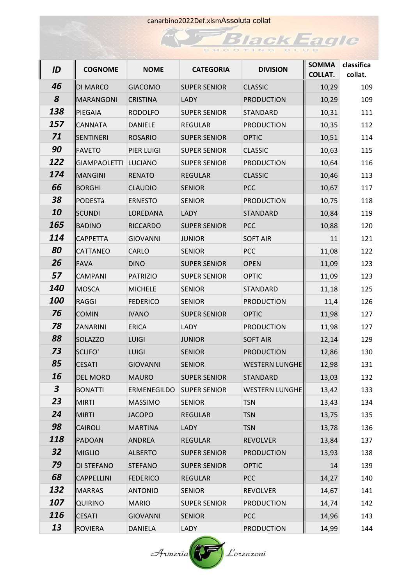| ┃ | ID               | <b>COGNOME</b>    | <b>NOME</b>     | <b>CATEGORIA</b>    | <b>DIVISION</b>       | <b>SOMMA</b><br><b>COLLAT.</b> | classifica<br>collat. |
|---|------------------|-------------------|-----------------|---------------------|-----------------------|--------------------------------|-----------------------|
|   | 46               | ∥DI MARCO         | <b>GIACOMO</b>  | <b>SUPER SENIOR</b> | <b>CLASSIC</b>        | 10,29                          | 109                   |
|   | 8                | MARANGONI         | <b>CRISTINA</b> | LADY                | <b>PRODUCTION</b>     | 10,29                          | 109                   |
|   | 138              | <b>PIEGAIA</b>    | <b>RODOLFO</b>  | <b>SUPER SENIOR</b> | <b>STANDARD</b>       | 10,31                          | 111                   |
|   | 157              | <b>CANNATA</b>    | <b>DANIELE</b>  | <b>REGULAR</b>      | <b>PRODUCTION</b>     | 10,35                          | 112                   |
|   | 71               | <b>SENTINERI</b>  | <b>ROSARIO</b>  | <b>SUPER SENIOR</b> | <b>OPTIC</b>          | 10,51                          | 114                   |
|   | 90               | <b>IFAVETO</b>    | PIER LUIGI      | <b>SUPER SENIOR</b> | <b>CLASSIC</b>        | 10,63                          | 115                   |
|   | 122              | GIAMPAOLETTI      | <b>LUCIANO</b>  | <b>SUPER SENIOR</b> | <b>PRODUCTION</b>     | 10,64                          | 116                   |
|   | 174              | <b>IMANGINI</b>   | <b>RENATO</b>   | <b>REGULAR</b>      | <b>CLASSIC</b>        | 10,46                          | 113                   |
|   | 66               | BORGHI            | <b>CLAUDIO</b>  | <b>SENIOR</b>       | <b>PCC</b>            | 10,67                          | 117                   |
|   | 38               | <b>ll</b> PODESTà | <b>ERNESTO</b>  | <b>SENIOR</b>       | <b>PRODUCTION</b>     | 10,75                          | 118                   |
|   | 10               | llscundi          | LOREDANA        | LADY                | <b>STANDARD</b>       | 10,84                          | 119                   |
|   | 165              | <b>BADINO</b>     | <b>RICCARDO</b> | <b>SUPER SENIOR</b> | <b>PCC</b>            | 10,88                          | 120                   |
|   | 114              | <b>CAPPETTA</b>   | <b>GIOVANNI</b> | <b>JUNIOR</b>       | <b>SOFT AIR</b>       | 11                             | 121                   |
|   | 80               | <b>CATTANEO</b>   | CARLO           | <b>SENIOR</b>       | PCC                   | 11,08                          | 122                   |
|   | 26               | ∥FAVA             | <b>DINO</b>     | <b>SUPER SENIOR</b> | <b>OPEN</b>           | 11,09                          | 123                   |
|   | 57               | <b>CAMPANI</b>    | <b>PATRIZIO</b> | <b>SUPER SENIOR</b> | <b>OPTIC</b>          | 11,09                          | 123                   |
|   | <b>140</b>       | <b>IMOSCA</b>     | <b>MICHELE</b>  | <b>SENIOR</b>       | STANDARD              | 11,18                          | 125                   |
|   | <b>100</b>       | <b>RAGGI</b>      | <b>FEDERICO</b> | <b>SENIOR</b>       | <b>PRODUCTION</b>     | 11,4                           | 126                   |
|   | 76               | <b>COMIN</b>      | <b>IVANO</b>    | <b>SUPER SENIOR</b> | <b>OPTIC</b>          | 11,98                          | 127                   |
|   | 78               | <b>ZANARINI</b>   | <b>ERICA</b>    | LADY                | <b>PRODUCTION</b>     | 11,98                          | 127                   |
|   | 88               | <b>SOLAZZO</b>    | <b>LUIGI</b>    | <b>JUNIOR</b>       | <b>SOFT AIR</b>       | 12,14                          | 129                   |
|   | 73               | SCLIFO'           | <b>LUIGI</b>    | <b>SENIOR</b>       | <b>PRODUCTION</b>     | 12,86                          | 130                   |
|   | 85               | <b>CESATI</b>     | <b>GIOVANNI</b> | <b>SENIOR</b>       | <b>WESTERN LUNGHE</b> | 12,98                          | 131                   |
|   | 16               | DEL MORO          | <b>MAURO</b>    | <b>SUPER SENIOR</b> | STANDARD              | 13,03                          | 132                   |
|   | $\boldsymbol{3}$ | BONATTI           | ERMENEGILDO     | <b>SUPER SENIOR</b> | <b>WESTERN LUNGHE</b> | 13,42                          | 133                   |
|   | 23               | IMIRTI            | <b>MASSIMO</b>  | <b>SENIOR</b>       | <b>TSN</b>            | 13,43                          | 134                   |
|   | 24               | MIRTI             | <b>JACOPO</b>   | <b>REGULAR</b>      | <b>TSN</b>            | 13,75                          | 135                   |
|   | 98               | <b>CAIROLI</b>    | <b>MARTINA</b>  | LADY                | <b>TSN</b>            | 13,78                          | 136                   |
|   | 118              | PADOAN            | ANDREA          | <b>REGULAR</b>      | <b>REVOLVER</b>       | 13,84                          | 137                   |
|   | 32               | <b>MIGLIO</b>     | <b>ALBERTO</b>  | <b>SUPER SENIOR</b> | <b>PRODUCTION</b>     | 13,93                          | 138                   |
|   | 79               | <b>DI STEFANO</b> | <b>STEFANO</b>  | <b>SUPER SENIOR</b> | <b>OPTIC</b>          | 14                             | 139                   |
|   | 68               | CAPPELLINI        | <b>FEDERICO</b> | <b>REGULAR</b>      | PCC                   | 14,27                          | 140                   |
|   | 132              | <b>IMARRAS</b>    | <b>ANTONIO</b>  | <b>SENIOR</b>       | <b>REVOLVER</b>       | 14,67                          | 141                   |
|   | 107              | <b>OUIRINO</b>    | <b>MARIO</b>    | <b>SUPER SENIOR</b> | <b>PRODUCTION</b>     | 14,74                          | 142                   |
|   | <b>116</b>       | ∥CESATI           | <b>GIOVANNI</b> | <b>SENIOR</b>       | <b>PCC</b>            | 14,96                          | 143                   |
|   | 13               | <b>ROVIERA</b>    | DANIELA         | LADY                | <b>PRODUCTION</b>     | 14,99                          | 144                   |

 $A$ rmeria $\left(\begin{matrix} 1 \\ 1 \end{matrix}\right)$  Lorenzoni